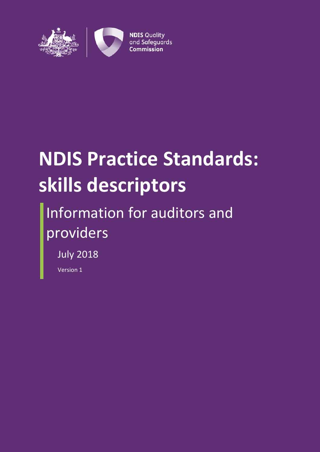

# **NDIS Practice Standards: skills descriptors**

# Information for auditors and providers

July 2018

Version 1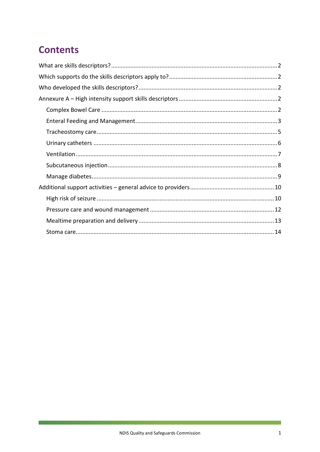# **Contents**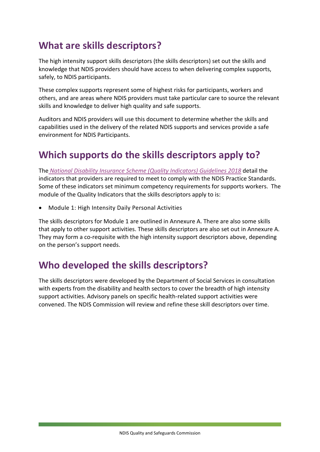#### <span id="page-2-0"></span>**What are skills descriptors?**

The high intensity support skills descriptors (the skills descriptors) set out the skills and knowledge that NDIS providers should have access to when delivering complex supports, safely, to NDIS participants.

These complex supports represent some of highest risks for participants, workers and others, and are areas where NDIS providers must take particular care to source the relevant skills and knowledge to deliver high quality and safe supports.

Auditors and NDIS providers will use this document to determine whether the skills and capabilities used in the delivery of the related NDIS supports and services provide a safe environment for NDIS Participants.

### <span id="page-2-1"></span>**Which supports do the skills descriptors apply to?**

The *[National Disability Insurance Scheme \(Quality Indicators\) Guidelines 2018](https://www.legislation.gov.au/Details/F2018N00041)* detail the indicators that providers are required to meet to comply with the NDIS Practice Standards. Some of these indicators set minimum competency requirements for supports workers. The module of the Quality Indicators that the skills descriptors apply to is:

• Module 1: High Intensity Daily Personal Activities

The skills descriptors for Module 1 are outlined in Annexure A. There are also some skills that apply to other support activities. These skills descriptors are also set out in Annexure A. They may form a co-requisite with the high intensity support descriptors above, depending on the person's support needs.

#### <span id="page-2-2"></span>**Who developed the skills descriptors?**

The skills descriptors were developed by the Department of Social Services in consultation with experts from the disability and health sectors to cover the breadth of high intensity support activities. Advisory panels on specific health-related support activities were convened. The NDIS Commission will review and refine these skill descriptors over time.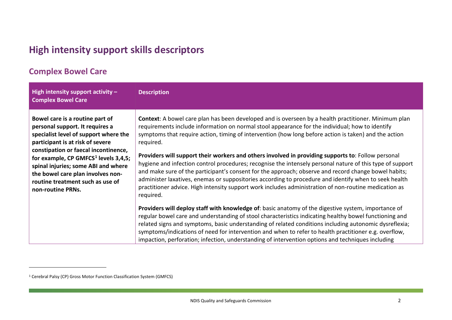## <span id="page-3-2"></span>**High intensity support skills descriptors**

#### **Complex Bowel Care**

<span id="page-3-0"></span>

| High intensity support activity $-$<br><b>Complex Bowel Care</b>                                                                                                                                                                                                                                                                                                                 | <b>Description</b>                                                                                                                                                                                                                                                                                                                                                                                                                                                                                                                                                                                                                                                                                                                                                                                                                                                                      |
|----------------------------------------------------------------------------------------------------------------------------------------------------------------------------------------------------------------------------------------------------------------------------------------------------------------------------------------------------------------------------------|-----------------------------------------------------------------------------------------------------------------------------------------------------------------------------------------------------------------------------------------------------------------------------------------------------------------------------------------------------------------------------------------------------------------------------------------------------------------------------------------------------------------------------------------------------------------------------------------------------------------------------------------------------------------------------------------------------------------------------------------------------------------------------------------------------------------------------------------------------------------------------------------|
| Bowel care is a routine part of<br>personal support. It requires a<br>specialist level of support where the<br>participant is at risk of severe<br>constipation or faecal incontinence,<br>for example, CP GMFCS <sup>1</sup> levels 3,4,5;<br>spinal injuries; some ABI and where<br>the bowel care plan involves non-<br>routine treatment such as use of<br>non-routine PRNs. | Context: A bowel care plan has been developed and is overseen by a health practitioner. Minimum plan<br>requirements include information on normal stool appearance for the individual; how to identify<br>symptoms that require action, timing of intervention (how long before action is taken) and the action<br>required.<br>Providers will support their workers and others involved in providing supports to: Follow personal<br>hygiene and infection control procedures; recognise the intensely personal nature of this type of support<br>and make sure of the participant's consent for the approach; observe and record change bowel habits;<br>administer laxatives, enemas or suppositories according to procedure and identify when to seek health<br>practitioner advice. High intensity support work includes administration of non-routine medication as<br>required. |
|                                                                                                                                                                                                                                                                                                                                                                                  | Providers will deploy staff with knowledge of: basic anatomy of the digestive system, importance of<br>regular bowel care and understanding of stool characteristics indicating healthy bowel functioning and<br>related signs and symptoms, basic understanding of related conditions including autonomic dysreflexia;<br>symptoms/indications of need for intervention and when to refer to health practitioner e.g. overflow,<br>impaction, perforation; infection, understanding of intervention options and techniques including                                                                                                                                                                                                                                                                                                                                                   |

<span id="page-3-1"></span> $\overline{a}$ 

<sup>1</sup> Cerebral Palsy (CP) Gross Motor Function Classification System (GMFCS)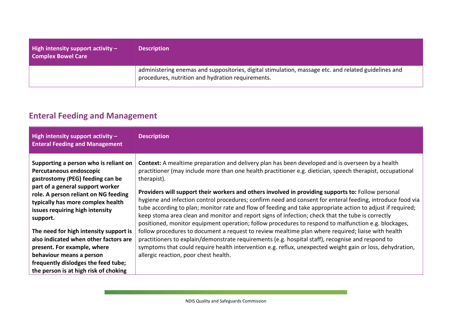| <b>High intensity support activity <math>-</math></b><br><b>Complex Bowel Care</b> | <b>Description</b>                                                                                                                                        |
|------------------------------------------------------------------------------------|-----------------------------------------------------------------------------------------------------------------------------------------------------------|
|                                                                                    | administering enemas and suppositories, digital stimulation, massage etc. and related guidelines and<br>procedures, nutrition and hydration requirements. |

#### **Enteral Feeding and Management**

<span id="page-4-0"></span>

| High intensity support activity $-$<br><b>Enteral Feeding and Management</b>                                                                                                                                                                                         | <b>Description</b>                                                                                                                                                                                                                                                                                                                                                                                                                                                                                                                                                                                                                                                                                                                                                                   |
|----------------------------------------------------------------------------------------------------------------------------------------------------------------------------------------------------------------------------------------------------------------------|--------------------------------------------------------------------------------------------------------------------------------------------------------------------------------------------------------------------------------------------------------------------------------------------------------------------------------------------------------------------------------------------------------------------------------------------------------------------------------------------------------------------------------------------------------------------------------------------------------------------------------------------------------------------------------------------------------------------------------------------------------------------------------------|
| Supporting a person who is reliant on<br>Percutaneous endoscopic<br>gastrostomy (PEG) feeding can be<br>part of a general support worker<br>role. A person reliant on NG feeding<br>typically has more complex health<br>issues requiring high intensity<br>support. | <b>Context:</b> A mealtime preparation and delivery plan has been developed and is overseen by a health<br>practitioner (may include more than one health practitioner e.g. dietician, speech therapist, occupational<br>therapist).<br>Providers will support their workers and others involved in providing supports to: Follow personal<br>hygiene and infection control procedures; confirm need and consent for enteral feeding, introduce food via<br>tube according to plan; monitor rate and flow of feeding and take appropriate action to adjust if required;<br>keep stoma area clean and monitor and report signs of infection; check that the tube is correctly<br>positioned, monitor equipment operation; follow procedures to respond to malfunction e.g. blockages, |
| The need for high intensity support is<br>also indicated when other factors are<br>present. For example, where<br>behaviour means a person<br>frequently dislodges the feed tube;<br>the person is at high risk of choking                                           | follow procedures to document a request to review mealtime plan where required; liaise with health<br>practitioners to explain/demonstrate requirements (e.g. hospital staff), recognise and respond to<br>symptoms that could require health intervention e.g. reflux, unexpected weight gain or loss, dehydration,<br>allergic reaction, poor chest health.                                                                                                                                                                                                                                                                                                                                                                                                                        |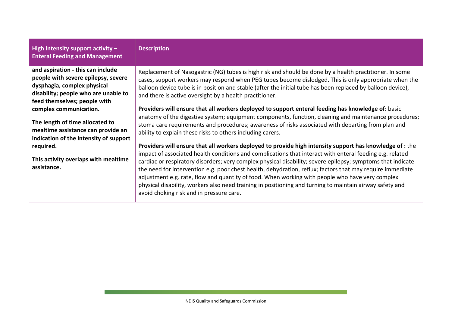#### **High intensity support activity – Enteral Feeding and Management**

#### **Description**

**and aspiration - this can include people with severe epilepsy, severe dysphagia, complex physical disability; people who are unable to feed themselves; people with complex communication.** 

**The length of time allocated to mealtime assistance can provide an indication of the intensity of support required.** 

**This activity overlaps with mealtime assistance.**

Replacement of Nasogastric (NG) tubes is high risk and should be done by a health practitioner. In some cases, support workers may respond when PEG tubes become dislodged. This is only appropriate when the balloon device tube is in position and stable (after the initial tube has been replaced by balloon device), and there is active oversight by a health practitioner.

Providers will ensure that all workers deployed to support enteral feeding has knowledge of: basic anatomy of the digestive system; equipment components, function, cleaning and maintenance procedures; stoma care requirements and procedures; awareness of risks associated with departing from plan and ability to explain these risks to others including carers.

**Providers will ensure that all workers deployed to provide high intensity support has knowledge of :** the impact of associated health conditions and complications that interact with enteral feeding e.g. related cardiac or respiratory disorders; very complex physical disability; severe epilepsy; symptoms that indicate the need for intervention e.g. poor chest health, dehydration, reflux; factors that may require immediate adjustment e.g. rate, flow and quantity of food. When working with people who have very complex physical disability, workers also need training in positioning and turning to maintain airway safety and avoid choking risk and in pressure care.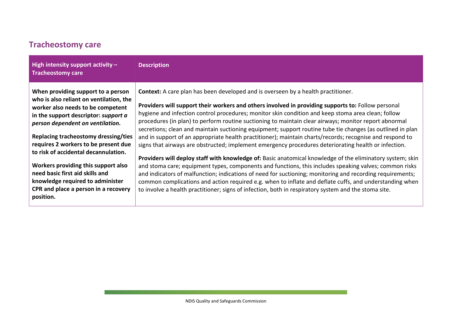#### **Tracheostomy care**

<span id="page-6-0"></span>

| High intensity support activity $-$<br><b>Tracheostomy care</b>                                                                                                                                                                                                                                                                                                                                                                                                                           | <b>Description</b>                                                                                                                                                                                                                                                                                                                                                                                                                                                                                                                                                                                                                                                                                                                                                                                                                                                                                                                                                                                                                                                                                                                                                                                                                                                                                     |
|-------------------------------------------------------------------------------------------------------------------------------------------------------------------------------------------------------------------------------------------------------------------------------------------------------------------------------------------------------------------------------------------------------------------------------------------------------------------------------------------|--------------------------------------------------------------------------------------------------------------------------------------------------------------------------------------------------------------------------------------------------------------------------------------------------------------------------------------------------------------------------------------------------------------------------------------------------------------------------------------------------------------------------------------------------------------------------------------------------------------------------------------------------------------------------------------------------------------------------------------------------------------------------------------------------------------------------------------------------------------------------------------------------------------------------------------------------------------------------------------------------------------------------------------------------------------------------------------------------------------------------------------------------------------------------------------------------------------------------------------------------------------------------------------------------------|
| When providing support to a person<br>who is also reliant on ventilation, the<br>worker also needs to be competent<br>in the support descriptor: support a<br>person dependent on ventilation.<br>Replacing tracheostomy dressing/ties<br>requires 2 workers to be present due<br>to risk of accidental decannulation.<br>Workers providing this support also<br>need basic first aid skills and<br>knowledge required to administer<br>CPR and place a person in a recovery<br>position. | <b>Context:</b> A care plan has been developed and is overseen by a health practitioner.<br>Providers will support their workers and others involved in providing supports to: Follow personal<br>hygiene and infection control procedures; monitor skin condition and keep stoma area clean; follow<br>procedures (in plan) to perform routine suctioning to maintain clear airways; monitor report abnormal<br>secretions; clean and maintain suctioning equipment; support routine tube tie changes (as outlined in plan<br>and in support of an appropriate health practitioner); maintain charts/records; recognise and respond to<br>signs that airways are obstructed; implement emergency procedures deteriorating health or infection.<br>Providers will deploy staff with knowledge of: Basic anatomical knowledge of the eliminatory system; skin<br>and stoma care; equipment types, components and functions, this includes speaking valves; common risks<br>and indicators of malfunction; indications of need for suctioning; monitoring and recording requirements;<br>common complications and action required e.g. when to inflate and deflate cuffs, and understanding when<br>to involve a health practitioner; signs of infection, both in respiratory system and the stoma site. |
|                                                                                                                                                                                                                                                                                                                                                                                                                                                                                           |                                                                                                                                                                                                                                                                                                                                                                                                                                                                                                                                                                                                                                                                                                                                                                                                                                                                                                                                                                                                                                                                                                                                                                                                                                                                                                        |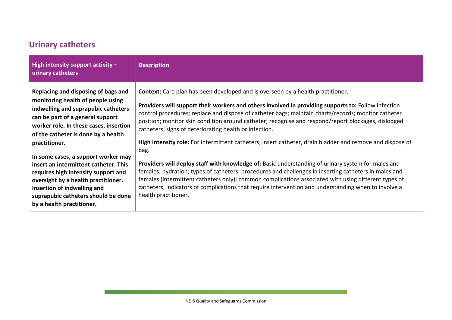#### **Urinary catheters**

<span id="page-7-0"></span>

| High intensity support activity $-$<br>urinary catheters                                                                                                                                                                             | <b>Description</b>                                                                                                                                                                                                                                                                                                                                                                                                                                                    |
|--------------------------------------------------------------------------------------------------------------------------------------------------------------------------------------------------------------------------------------|-----------------------------------------------------------------------------------------------------------------------------------------------------------------------------------------------------------------------------------------------------------------------------------------------------------------------------------------------------------------------------------------------------------------------------------------------------------------------|
| Replacing and disposing of bags and<br>monitoring health of people using<br>indwelling and suprapubic catheters<br>can be part of a general support<br>worker role. In these cases, insertion<br>of the catheter is done by a health | <b>Context:</b> Care plan has been developed and is overseen by a health practitioner.<br>Providers will support their workers and others involved in providing supports to: Follow infection<br>control procedures; replace and dispose of catheter bags; maintain charts/records; monitor catheter<br>position; monitor skin condition around catheter; recognise and respond/report blockages, dislodged<br>catheters, signs of deteriorating health or infection. |
| practitioner.                                                                                                                                                                                                                        | High intensity role: For intermittent catheters, insert catheter, drain bladder and remove and dispose of<br>bag.                                                                                                                                                                                                                                                                                                                                                     |
| In some cases, a support worker may                                                                                                                                                                                                  | <b>Providers will deploy staff with knowledge of:</b> Basic understanding of urinary system for males and                                                                                                                                                                                                                                                                                                                                                             |
| insert an intermittent catheter. This<br>requires high intensity support and<br>oversight by a health practitioner.<br>Insertion of indwelling and<br>suprapubic catheters should be done<br>by a health practitioner.               | females; hydration; types of catheters; procedures and challenges in inserting catheters in males and<br>females (intermittent catheters only); common complications associated with using different types of<br>catheters, indicators of complications that require intervention and understanding when to involve a<br>health practitioner.                                                                                                                         |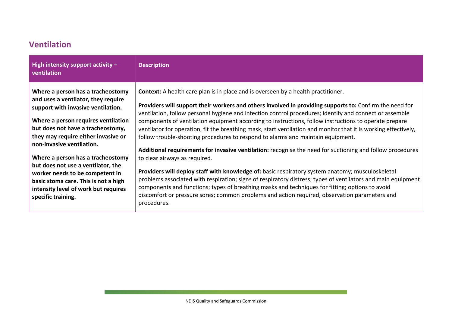#### **Ventilation**

<span id="page-8-0"></span>

| High intensity support activity $-$<br>ventilation                                                                                                                                                                                                             | <b>Description</b>                                                                                                                                                                                                                                                                                                                                                                                                                                                                                                                                                                                                            |
|----------------------------------------------------------------------------------------------------------------------------------------------------------------------------------------------------------------------------------------------------------------|-------------------------------------------------------------------------------------------------------------------------------------------------------------------------------------------------------------------------------------------------------------------------------------------------------------------------------------------------------------------------------------------------------------------------------------------------------------------------------------------------------------------------------------------------------------------------------------------------------------------------------|
| Where a person has a tracheostomy<br>and uses a ventilator, they require<br>support with invasive ventilation.<br>Where a person requires ventilation<br>but does not have a tracheostomy,<br>they may require either invasive or<br>non-invasive ventilation. | <b>Context:</b> A health care plan is in place and is overseen by a health practitioner.<br>Providers will support their workers and others involved in providing supports to: Confirm the need for<br>ventilation, follow personal hygiene and infection control procedures; identify and connect or assemble<br>components of ventilation equipment according to instructions, follow instructions to operate prepare<br>ventilator for operation, fit the breathing mask, start ventilation and monitor that it is working effectively,<br>follow trouble-shooting procedures to respond to alarms and maintain equipment. |
| Where a person has a tracheostomy<br>but does not use a ventilator, the<br>worker needs to be competent in<br>basic stoma care. This is not a high<br>intensity level of work but requires<br>specific training.                                               | Additional requirements for invasive ventilation: recognise the need for suctioning and follow procedures<br>to clear airways as required.<br>Providers will deploy staff with knowledge of: basic respiratory system anatomy; musculoskeletal<br>problems associated with respiration; signs of respiratory distress; types of ventilators and main equipment<br>components and functions; types of breathing masks and techniques for fitting; options to avoid<br>discomfort or pressure sores; common problems and action required, observation parameters and<br>procedures.                                             |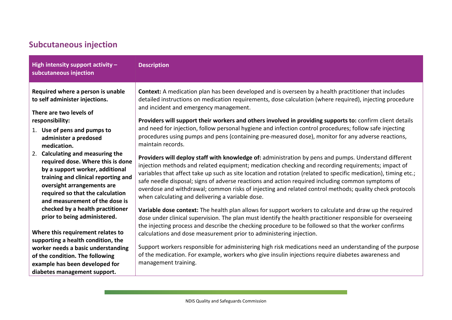#### **Subcutaneous injection**

<span id="page-9-0"></span>

| High intensity support activity $-$<br>subcutaneous injection                                                                                                                                                                                                                                                                                                                                                                                                                                                                                                                                                                           | <b>Description</b>                                                                                                                                                                                                                                                                                                                                                                                                                                                                                                                                                                                                                                                                                                                                                                                                                                                                                                                                                                                                                                                                                                                                                                                                                                                                                                                                                                                                                                                                                                                                                                                                                                                                                                                      |
|-----------------------------------------------------------------------------------------------------------------------------------------------------------------------------------------------------------------------------------------------------------------------------------------------------------------------------------------------------------------------------------------------------------------------------------------------------------------------------------------------------------------------------------------------------------------------------------------------------------------------------------------|-----------------------------------------------------------------------------------------------------------------------------------------------------------------------------------------------------------------------------------------------------------------------------------------------------------------------------------------------------------------------------------------------------------------------------------------------------------------------------------------------------------------------------------------------------------------------------------------------------------------------------------------------------------------------------------------------------------------------------------------------------------------------------------------------------------------------------------------------------------------------------------------------------------------------------------------------------------------------------------------------------------------------------------------------------------------------------------------------------------------------------------------------------------------------------------------------------------------------------------------------------------------------------------------------------------------------------------------------------------------------------------------------------------------------------------------------------------------------------------------------------------------------------------------------------------------------------------------------------------------------------------------------------------------------------------------------------------------------------------------|
| Required where a person is unable<br>to self administer injections.<br>There are two levels of<br>responsibility:<br>1. Use of pens and pumps to<br>administer a predosed<br>medication.<br>Calculating and measuring the<br>2.<br>required dose. Where this is done<br>by a support worker, additional<br>training and clinical reporting and<br>oversight arrangements are<br>required so that the calculation<br>and measurement of the dose is<br>checked by a health practitioner<br>prior to being administered.<br>Where this requirement relates to<br>supporting a health condition, the<br>worker needs a basic understanding | Context: A medication plan has been developed and is overseen by a health practitioner that includes<br>detailed instructions on medication requirements, dose calculation (where required), injecting procedure<br>and incident and emergency management.<br>Providers will support their workers and others involved in providing supports to: confirm client details<br>and need for injection, follow personal hygiene and infection control procedures; follow safe injecting<br>procedures using pumps and pens (containing pre-measured dose), monitor for any adverse reactions,<br>maintain records.<br>Providers will deploy staff with knowledge of: administration by pens and pumps. Understand different<br>injection methods and related equipment; medication checking and recording requirements; impact of<br>variables that affect take up such as site location and rotation (related to specific medication), timing etc.;<br>safe needle disposal; signs of adverse reactions and action required including common symptoms of<br>overdose and withdrawal; common risks of injecting and related control methods; quality check protocols<br>when calculating and delivering a variable dose.<br>Variable dose context: The health plan allows for support workers to calculate and draw up the required<br>dose under clinical supervision. The plan must identify the health practitioner responsible for overseeing<br>the injecting process and describe the checking procedure to be followed so that the worker confirms<br>calculations and dose measurement prior to administering injection.<br>Support workers responsible for administering high risk medications need an understanding of the purpose |
| of the condition. The following<br>example has been developed for<br>diabetes management support.                                                                                                                                                                                                                                                                                                                                                                                                                                                                                                                                       | of the medication. For example, workers who give insulin injections require diabetes awareness and<br>management training.                                                                                                                                                                                                                                                                                                                                                                                                                                                                                                                                                                                                                                                                                                                                                                                                                                                                                                                                                                                                                                                                                                                                                                                                                                                                                                                                                                                                                                                                                                                                                                                                              |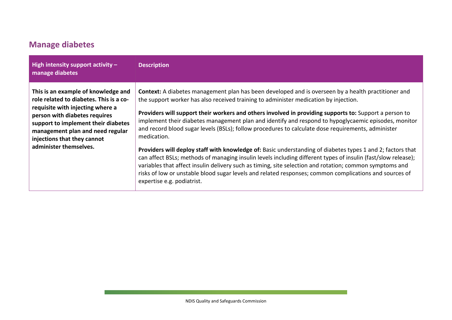#### **Manage diabetes**

<span id="page-10-0"></span>

| High intensity support activity $-$<br>manage diabetes                                                                                                                                                                                                                                  | <b>Description</b>                                                                                                                                                                                                                                                                                                                                                                                                                                                                                                                                                                                                                                                                                                                                                                                                                                                                                                                                                                                                          |
|-----------------------------------------------------------------------------------------------------------------------------------------------------------------------------------------------------------------------------------------------------------------------------------------|-----------------------------------------------------------------------------------------------------------------------------------------------------------------------------------------------------------------------------------------------------------------------------------------------------------------------------------------------------------------------------------------------------------------------------------------------------------------------------------------------------------------------------------------------------------------------------------------------------------------------------------------------------------------------------------------------------------------------------------------------------------------------------------------------------------------------------------------------------------------------------------------------------------------------------------------------------------------------------------------------------------------------------|
| This is an example of knowledge and<br>role related to diabetes. This is a co-<br>requisite with injecting where a<br>person with diabetes requires<br>support to implement their diabetes<br>management plan and need regular<br>injections that they cannot<br>administer themselves. | <b>Context:</b> A diabetes management plan has been developed and is overseen by a health practitioner and<br>the support worker has also received training to administer medication by injection.<br>Providers will support their workers and others involved in providing supports to: Support a person to<br>implement their diabetes management plan and identify and respond to hypoglycaemic episodes, monitor<br>and record blood sugar levels (BSLs); follow procedures to calculate dose requirements, administer<br>medication.<br>Providers will deploy staff with knowledge of: Basic understanding of diabetes types 1 and 2; factors that<br>can affect BSLs; methods of managing insulin levels including different types of insulin (fast/slow release);<br>variables that affect insulin delivery such as timing, site selection and rotation; common symptoms and<br>risks of low or unstable blood sugar levels and related responses; common complications and sources of<br>expertise e.g. podiatrist. |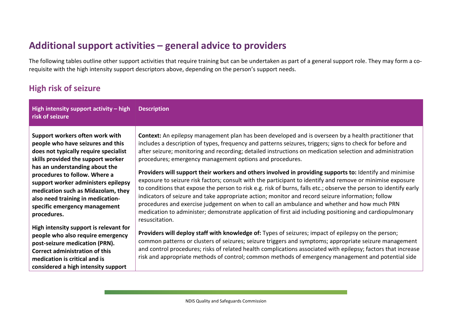#### **Additional support activities – general advice to providers**

The following tables outline other support activities that require training but can be undertaken as part of a general support role. They may form a corequisite with the high intensity support descriptors above, depending on the person's support needs.

#### **High risk of seizure**

<span id="page-11-1"></span><span id="page-11-0"></span>

| High intensity support activity - high<br>risk of seizure                                                                                                                                                                                                                                                                                                                                | <b>Description</b>                                                                                                                                                                                                                                                                                                                                                                                                                                                                                                                                                                                                                                                                                                                                                                                                                                                                                                                                                                                                                                                           |
|------------------------------------------------------------------------------------------------------------------------------------------------------------------------------------------------------------------------------------------------------------------------------------------------------------------------------------------------------------------------------------------|------------------------------------------------------------------------------------------------------------------------------------------------------------------------------------------------------------------------------------------------------------------------------------------------------------------------------------------------------------------------------------------------------------------------------------------------------------------------------------------------------------------------------------------------------------------------------------------------------------------------------------------------------------------------------------------------------------------------------------------------------------------------------------------------------------------------------------------------------------------------------------------------------------------------------------------------------------------------------------------------------------------------------------------------------------------------------|
| Support workers often work with<br>people who have seizures and this<br>does not typically require specialist<br>skills provided the support worker<br>has an understanding about the<br>procedures to follow. Where a<br>support worker administers epilepsy<br>medication such as Midazolam, they<br>also need training in medication-<br>specific emergency management<br>procedures. | Context: An epilepsy management plan has been developed and is overseen by a health practitioner that<br>includes a description of types, frequency and patterns seizures, triggers; signs to check for before and<br>after seizure; monitoring and recording; detailed instructions on medication selection and administration<br>procedures; emergency management options and procedures.<br>Providers will support their workers and others involved in providing supports to: Identify and minimise<br>exposure to seizure risk factors; consult with the participant to identify and remove or minimise exposure<br>to conditions that expose the person to risk e.g. risk of burns, falls etc.; observe the person to identify early<br>indicators of seizure and take appropriate action; monitor and record seizure information; follow<br>procedures and exercise judgement on when to call an ambulance and whether and how much PRN<br>medication to administer; demonstrate application of first aid including positioning and cardiopulmonary<br>resuscitation. |
| High intensity support is relevant for<br>people who also require emergency<br>post-seizure medication (PRN).<br><b>Correct administration of this</b><br>medication is critical and is<br>considered a high intensity support                                                                                                                                                           | Providers will deploy staff with knowledge of: Types of seizures; impact of epilepsy on the person;<br>common patterns or clusters of seizures; seizure triggers and symptoms; appropriate seizure management<br>and control procedures; risks of related health complications associated with epilepsy; factors that increase<br>risk and appropriate methods of control; common methods of emergency management and potential side                                                                                                                                                                                                                                                                                                                                                                                                                                                                                                                                                                                                                                         |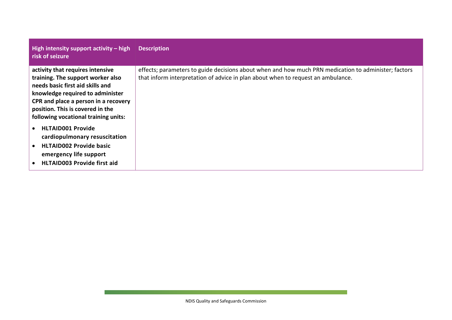| High intensity support activity $-$ high<br>risk of seizure                                                                                                                                                                                                       | <b>Description</b>                                                                                                                                                                       |
|-------------------------------------------------------------------------------------------------------------------------------------------------------------------------------------------------------------------------------------------------------------------|------------------------------------------------------------------------------------------------------------------------------------------------------------------------------------------|
| activity that requires intensive<br>training. The support worker also<br>needs basic first aid skills and<br>knowledge required to administer<br>CPR and place a person in a recovery<br>position. This is covered in the<br>following vocational training units: | effects; parameters to guide decisions about when and how much PRN medication to administer; factors<br>that inform interpretation of advice in plan about when to request an ambulance. |
| <b>HLTAID001 Provide</b><br>$\bullet$<br>cardiopulmonary resuscitation<br><b>HLTAID002 Provide basic</b><br>emergency life support<br><b>HLTAID003 Provide first aid</b>                                                                                          |                                                                                                                                                                                          |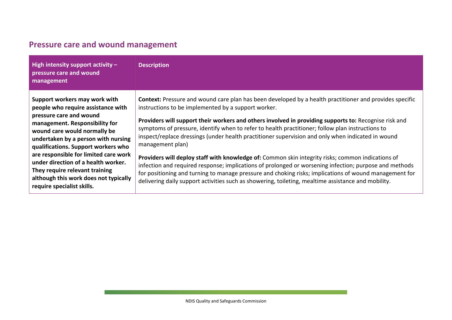<span id="page-13-0"></span>

| High intensity support activity $-$<br>pressure care and wound<br>management                                                                                                                                                                                                                                                                                                                                                            | <b>Description</b>                                                                                                                                                                                                                                                                                                                                                                                                                                                                                                                                                                                                                                                                                                                                                                                                                                                                                                                   |
|-----------------------------------------------------------------------------------------------------------------------------------------------------------------------------------------------------------------------------------------------------------------------------------------------------------------------------------------------------------------------------------------------------------------------------------------|--------------------------------------------------------------------------------------------------------------------------------------------------------------------------------------------------------------------------------------------------------------------------------------------------------------------------------------------------------------------------------------------------------------------------------------------------------------------------------------------------------------------------------------------------------------------------------------------------------------------------------------------------------------------------------------------------------------------------------------------------------------------------------------------------------------------------------------------------------------------------------------------------------------------------------------|
| Support workers may work with<br>people who require assistance with<br>pressure care and wound<br>management. Responsibility for<br>wound care would normally be<br>undertaken by a person with nursing<br>qualifications. Support workers who<br>are responsible for limited care work<br>under direction of a health worker.<br>They require relevant training<br>although this work does not typically<br>require specialist skills. | Context: Pressure and wound care plan has been developed by a health practitioner and provides specific<br>instructions to be implemented by a support worker.<br>Providers will support their workers and others involved in providing supports to: Recognise risk and<br>symptoms of pressure, identify when to refer to health practitioner; follow plan instructions to<br>inspect/replace dressings (under health practitioner supervision and only when indicated in wound<br>management plan)<br>Providers will deploy staff with knowledge of: Common skin integrity risks; common indications of<br>infection and required response; implications of prolonged or worsening infection; purpose and methods<br>for positioning and turning to manage pressure and choking risks; implications of wound management for<br>delivering daily support activities such as showering, toileting, mealtime assistance and mobility. |

#### **Pressure care and wound management**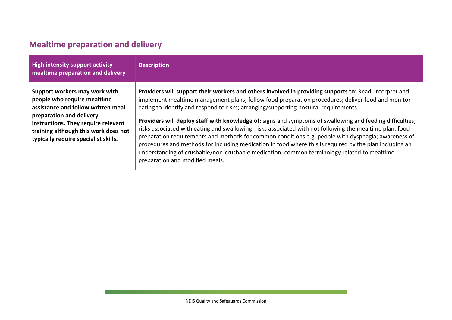#### **Mealtime preparation and delivery**

<span id="page-14-0"></span>

| High intensity support activity $-$<br>mealtime preparation and delivery                                                                                                                                                                              | <b>Description</b>                                                                                                                                                                                                                                                                                                                                                                                                                                                                                                                                                                                                                                                                                                                                                                                                                                                               |
|-------------------------------------------------------------------------------------------------------------------------------------------------------------------------------------------------------------------------------------------------------|----------------------------------------------------------------------------------------------------------------------------------------------------------------------------------------------------------------------------------------------------------------------------------------------------------------------------------------------------------------------------------------------------------------------------------------------------------------------------------------------------------------------------------------------------------------------------------------------------------------------------------------------------------------------------------------------------------------------------------------------------------------------------------------------------------------------------------------------------------------------------------|
| Support workers may work with<br>people who require mealtime<br>assistance and follow written meal<br>preparation and delivery<br>instructions. They require relevant<br>training although this work does not<br>typically require specialist skills. | Providers will support their workers and others involved in providing supports to: Read, interpret and<br>implement mealtime management plans; follow food preparation procedures; deliver food and monitor<br>eating to identify and respond to risks; arranging/supporting postural requirements.<br>Providers will deploy staff with knowledge of: signs and symptoms of swallowing and feeding difficulties;<br>risks associated with eating and swallowing; risks associated with not following the mealtime plan; food<br>preparation requirements and methods for common conditions e.g. people with dysphagia; awareness of<br>procedures and methods for including medication in food where this is required by the plan including an<br>understanding of crushable/non-crushable medication; common terminology related to mealtime<br>preparation and modified meals. |